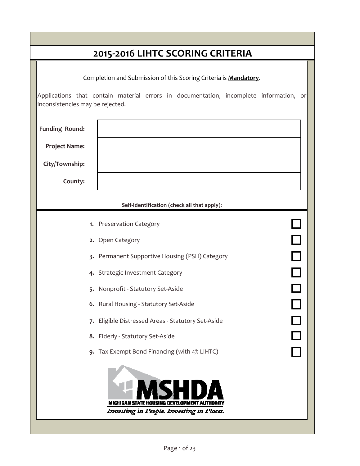| 2015-2016 LIHTC SCORING CRITERIA |                                                                                        |  |  |  |  |
|----------------------------------|----------------------------------------------------------------------------------------|--|--|--|--|
|                                  | Completion and Submission of this Scoring Criteria is Mandatory.                       |  |  |  |  |
| inconsistencies may be rejected. | Applications that contain material errors in documentation, incomplete information, or |  |  |  |  |
| <b>Funding Round:</b>            |                                                                                        |  |  |  |  |
| <b>Project Name:</b>             |                                                                                        |  |  |  |  |
| City/Township:                   |                                                                                        |  |  |  |  |
| County:                          |                                                                                        |  |  |  |  |
|                                  | Self-Identification (check all that apply):                                            |  |  |  |  |
|                                  | 1. Preservation Category                                                               |  |  |  |  |
|                                  | 2. Open Category                                                                       |  |  |  |  |
|                                  | 3. Permanent Supportive Housing (PSH) Category                                         |  |  |  |  |
|                                  | 4. Strategic Investment Category                                                       |  |  |  |  |
|                                  | 5. Nonprofit - Statutory Set-Aside                                                     |  |  |  |  |
|                                  | 6. Rural Housing - Statutory Set-Aside                                                 |  |  |  |  |
|                                  | 7. Eligible Distressed Areas - Statutory Set-Aside                                     |  |  |  |  |
|                                  | 8. Elderly - Statutory Set-Aside                                                       |  |  |  |  |
|                                  | 9. Tax Exempt Bond Financing (with 4% LIHTC)                                           |  |  |  |  |
|                                  | <b>MICHIGAN STATE HOUSING DEVELOPM</b>                                                 |  |  |  |  |
|                                  | Investing in People. Investing in Places.                                              |  |  |  |  |

٠

I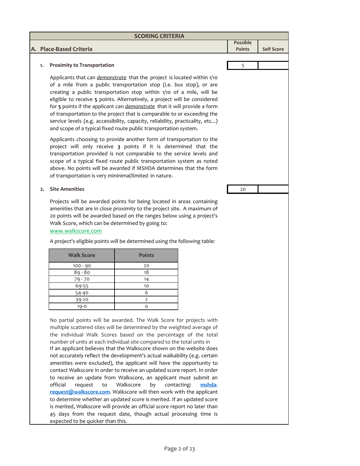|              |                                                                                                                                                                                                                                                                                                                                                                                                                                                                                                                                                                                                                         | <b>SCORING CRITERIA</b> |  |                 |                   |
|--------------|-------------------------------------------------------------------------------------------------------------------------------------------------------------------------------------------------------------------------------------------------------------------------------------------------------------------------------------------------------------------------------------------------------------------------------------------------------------------------------------------------------------------------------------------------------------------------------------------------------------------------|-------------------------|--|-----------------|-------------------|
|              |                                                                                                                                                                                                                                                                                                                                                                                                                                                                                                                                                                                                                         |                         |  | <b>Possible</b> |                   |
|              | A. Place-Based Criteria                                                                                                                                                                                                                                                                                                                                                                                                                                                                                                                                                                                                 |                         |  | <b>Points</b>   | <b>Self Score</b> |
|              |                                                                                                                                                                                                                                                                                                                                                                                                                                                                                                                                                                                                                         |                         |  |                 |                   |
| 1.           | <b>Proximity to Transportation</b>                                                                                                                                                                                                                                                                                                                                                                                                                                                                                                                                                                                      |                         |  | 5               |                   |
|              | Applicants that can <i>demonstrate</i> that the project is located within 1/10<br>of a mile from a public transportation stop (i.e. bus stop), or are<br>creating a public transportation stop within 1/10 of a mile, will be<br>eligible to receive 5 points. Alternatively, a project will be considered<br>for 5 points if the applicant can demonstrate that it will provide a form<br>of transportation to the project that is comparable to or exceeding the<br>service levels (e.g. accessibility, capacity, reliability, practicality, etc)<br>and scope of a typical fixed route public transportation system. |                         |  |                 |                   |
|              | Applicants choosing to provide another form of transportation to the<br>project will only receive 3 points if it is determined that the<br>transportation provided is not comparable to the service levels and<br>scope of a typical fixed route public transportation system as noted<br>above. No points will be awarded if MSHDA determines that the form<br>of transportation is very mininimal/limited in nature.                                                                                                                                                                                                  |                         |  |                 |                   |
| $\mathbf{2}$ | <b>Site Amenities</b>                                                                                                                                                                                                                                                                                                                                                                                                                                                                                                                                                                                                   |                         |  | 20              |                   |
|              | Projects will be awarded points for being located in areas containing<br>amenities that are in close proximity to the project site. A maximum of<br>20 points will be awarded based on the ranges below using a project's<br>Walk Score, which can be determined by going to:<br>www.walkscore.com                                                                                                                                                                                                                                                                                                                      |                         |  |                 |                   |
|              | A project's eligible points will be determined using the following table:                                                                                                                                                                                                                                                                                                                                                                                                                                                                                                                                               |                         |  |                 |                   |
|              | <b>Walk Score</b>                                                                                                                                                                                                                                                                                                                                                                                                                                                                                                                                                                                                       | <b>Points</b>           |  |                 |                   |
|              | $100 - 90$                                                                                                                                                                                                                                                                                                                                                                                                                                                                                                                                                                                                              | 20                      |  |                 |                   |
|              | $89 - 80$                                                                                                                                                                                                                                                                                                                                                                                                                                                                                                                                                                                                               | 18                      |  |                 |                   |
|              | 79 - 70                                                                                                                                                                                                                                                                                                                                                                                                                                                                                                                                                                                                                 | 14                      |  |                 |                   |
|              | 69-55                                                                                                                                                                                                                                                                                                                                                                                                                                                                                                                                                                                                                   | 10                      |  |                 |                   |
|              | 54-40                                                                                                                                                                                                                                                                                                                                                                                                                                                                                                                                                                                                                   | 6                       |  |                 |                   |
|              | 39-20                                                                                                                                                                                                                                                                                                                                                                                                                                                                                                                                                                                                                   | 2                       |  |                 |                   |
|              | 19-0                                                                                                                                                                                                                                                                                                                                                                                                                                                                                                                                                                                                                    | 0                       |  |                 |                   |
|              | No partial points will be awarded. The Walk Score for projects with<br>multiple scattered sites will be determined by the weighted average of<br>the individual Walk Scores based on the percentage of the total<br>number of units at each individual site compared to the total units in                                                                                                                                                                                                                                                                                                                              |                         |  |                 |                   |

not accurately reflect the development's actual walkability (e.g. certain amenities were excluded), the applicant will have the opportunity to contact Walkscore in order to receive an updated score report. In order to receive an update from Walkscore, an applicant must submit an official request to Walkscore by contacting: **mshda‐ request@walkscore.com**. Walkscore will then work with the applicant to determine whether an updated score is merited. If an updated score is merited, Walkscore will provide an official score report no later than 45 days from the request date, though actual processing time is

expected to be quicker than this.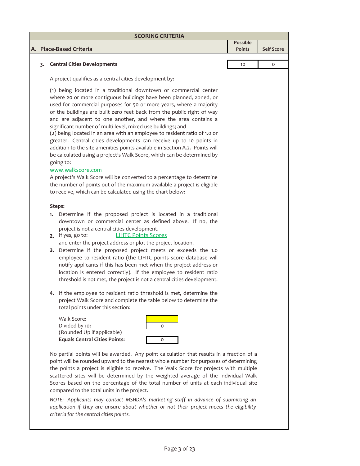| <b>SCORING CRITERIA</b> |                                                         |                           |                   |  |  |
|-------------------------|---------------------------------------------------------|---------------------------|-------------------|--|--|
|                         | A. Place-Based Criteria                                 | Possible<br><b>Points</b> | <b>Self Score</b> |  |  |
|                         |                                                         |                           |                   |  |  |
|                         | <b>Central Cities Developments</b>                      | 10                        | $\Omega$          |  |  |
|                         | A project qualifies as a central cities development by: |                           |                   |  |  |

(1) being located in a traditional downtown or commercial center where 20 or more contiguous buildings have been planned, zoned, or used for commercial purposes for 50 or more years, where a majority of the buildings are built zero feet back from the public right of way and are adjacent to one another, and where the area contains a significant number of multi-level, mixed-use buildings; and

(2) being located in an area with an employee to resident ratio of 1.0 or greater. Central cities developments can receive up to 10 points in addition to the site amenities points available in Section A.2. Points will be calculated using a project's Walk Score, which can be determined by going to:

## www.walkscore.com

A project's Walk Score will be converted to a percentage to determine the number of points out of the maximum available a project is eligible to receive, which can be calculated using the chart below:

## **Steps:**

- **1.** Determine if the proposed project is located in a traditional downtown or commercial center as defined above. If no, the project is not a central cities development.
- **2.** If yes, go to: and enter the project address or plot the project location. LIHTC Points Scores
- **3.** Determine if the proposed project meets or exceeds the 1.0 employee to resident ratio (the LIHTC points score database will notify applicants if this has been met when the project address or location is entered correctly). If the employee to resident ratio threshold is not met, the project is not a central cities development.
- **4.** If the employee to resident ratio threshold is met, determine the project Walk Score and complete the table below to determine the total points under this section:

Walk Score: Divided by 10: 0 (Rounded Up if applicable) **Equals Central Cities Points:** 0



No partial points will be awarded. Any point calculation that results in a fraction of a point will be rounded upward to the nearest whole number for purposes of determining the points a project is eligible to receive. The Walk Score for projects with multiple scattered sites will be determined by the weighted average of the individual Walk Scores based on the percentage of the total number of units at each individual site compared to the total units in the project.

*NOTE: Applicants may contact MSHDA's marketing staff in advance of submitting an application if they are unsure about whether or not their project meets the eligibility criteria for the central cities points.*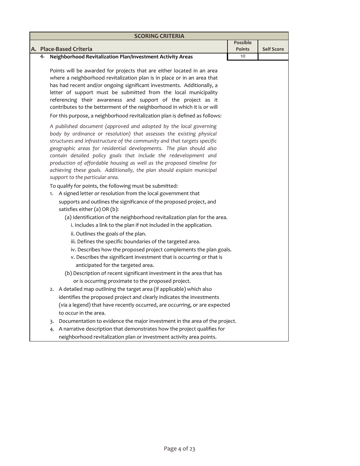| <b>SCORING CRITERIA</b> |                                                                                                                                                                                                                                                                                                                                                                                                                                                                                                                                                                                                                                                                                                                                                                                                                                                                                                                                                                                                                                                                                                                                                                                                                                                                                                                                                                       |                                  |                   |  |
|-------------------------|-----------------------------------------------------------------------------------------------------------------------------------------------------------------------------------------------------------------------------------------------------------------------------------------------------------------------------------------------------------------------------------------------------------------------------------------------------------------------------------------------------------------------------------------------------------------------------------------------------------------------------------------------------------------------------------------------------------------------------------------------------------------------------------------------------------------------------------------------------------------------------------------------------------------------------------------------------------------------------------------------------------------------------------------------------------------------------------------------------------------------------------------------------------------------------------------------------------------------------------------------------------------------------------------------------------------------------------------------------------------------|----------------------------------|-------------------|--|
|                         |                                                                                                                                                                                                                                                                                                                                                                                                                                                                                                                                                                                                                                                                                                                                                                                                                                                                                                                                                                                                                                                                                                                                                                                                                                                                                                                                                                       | <b>Possible</b><br><b>Points</b> | <b>Self Score</b> |  |
| 4.                      | A. Place-Based Criteria<br>Neighborhood Revitalization Plan/Investment Activity Areas                                                                                                                                                                                                                                                                                                                                                                                                                                                                                                                                                                                                                                                                                                                                                                                                                                                                                                                                                                                                                                                                                                                                                                                                                                                                                 | 10                               |                   |  |
|                         | Points will be awarded for projects that are either located in an area<br>where a neighborhood revitalization plan is in place or in an area that<br>has had recent and/or ongoing significant investments. Additionally, a<br>letter of support must be submitted from the local municipality<br>referencing their awareness and support of the project as it<br>contributes to the betterment of the neighborhood in which it is or will                                                                                                                                                                                                                                                                                                                                                                                                                                                                                                                                                                                                                                                                                                                                                                                                                                                                                                                            |                                  |                   |  |
|                         | For this purpose, a neighborhood revitalization plan is defined as follows:                                                                                                                                                                                                                                                                                                                                                                                                                                                                                                                                                                                                                                                                                                                                                                                                                                                                                                                                                                                                                                                                                                                                                                                                                                                                                           |                                  |                   |  |
|                         | A published document (approved and adopted by the local governing<br>body by ordinance or resolution) that assesses the existing physical<br>structures and infrastructure of the community and that targets specific<br>geographic areas for residential developments. The plan should also<br>contain detailed policy goals that include the redevelopment and<br>production of affordable housing as well as the proposed timeline for<br>achieving these goals. Additionally, the plan should explain municipal<br>support to the particular area.<br>To qualify for points, the following must be submitted:<br>1. A signed letter or resolution from the local government that<br>supports and outlines the significance of the proposed project, and<br>satisfies either (a) OR (b):<br>(a) Identification of the neighborhood revitalization plan for the area.<br>i. Includes a link to the plan if not included in the application.<br>ii. Outlines the goals of the plan.<br>iii. Defines the specific boundaries of the targeted area.<br>iv. Describes how the proposed project complements the plan goals.<br>v. Describes the significant investment that is occurring or that is<br>anticipated for the targeted area.<br>(b) Description of recent significant investment in the area that has<br>or is occurring proximate to the proposed project. |                                  |                   |  |
|                         | 2. A detailed map outlining the target area (if applicable) which also<br>identifies the proposed project and clearly indicates the investments<br>(via a legend) that have recently occurred, are occurring, or are expected<br>to occur in the area.                                                                                                                                                                                                                                                                                                                                                                                                                                                                                                                                                                                                                                                                                                                                                                                                                                                                                                                                                                                                                                                                                                                |                                  |                   |  |
|                         | Documentation to evidence the major investment in the area of the project.<br>3.                                                                                                                                                                                                                                                                                                                                                                                                                                                                                                                                                                                                                                                                                                                                                                                                                                                                                                                                                                                                                                                                                                                                                                                                                                                                                      |                                  |                   |  |
|                         | A narrative description that demonstrates how the project qualifies for<br>4.<br>neighborhood revitalization plan or investment activity area points.                                                                                                                                                                                                                                                                                                                                                                                                                                                                                                                                                                                                                                                                                                                                                                                                                                                                                                                                                                                                                                                                                                                                                                                                                 |                                  |                   |  |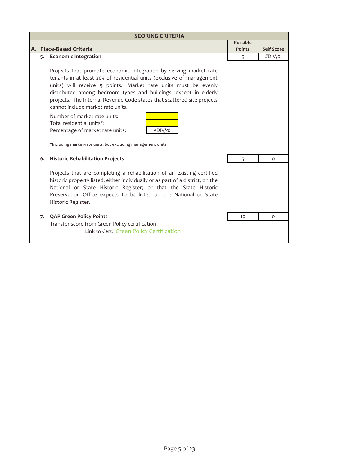| <b>SCORING CRITERIA</b> |                                                                                                                                                                                                                                                                                                                                                                                                  |                 |                   |  |
|-------------------------|--------------------------------------------------------------------------------------------------------------------------------------------------------------------------------------------------------------------------------------------------------------------------------------------------------------------------------------------------------------------------------------------------|-----------------|-------------------|--|
|                         |                                                                                                                                                                                                                                                                                                                                                                                                  | <b>Possible</b> |                   |  |
|                         | A. Place-Based Criteria                                                                                                                                                                                                                                                                                                                                                                          | <b>Points</b>   | <b>Self Score</b> |  |
|                         | 5. Economic Integration                                                                                                                                                                                                                                                                                                                                                                          | 5               | #DIV/o!           |  |
|                         | Projects that promote economic integration by serving market rate<br>tenants in at least 20% of residential units (exclusive of management<br>units) will receive 5 points. Market rate units must be evenly<br>distributed among bedroom types and buildings, except in elderly<br>projects. The Internal Revenue Code states that scattered site projects<br>cannot include market rate units. |                 |                   |  |
|                         | Number of market rate units:<br>Total residential units*:<br>#DIV/o!<br>Percentage of market rate units:<br>*Including market-rate units, but excluding management units                                                                                                                                                                                                                         |                 |                   |  |
| 6.                      | <b>Historic Rehabilitation Projects</b>                                                                                                                                                                                                                                                                                                                                                          | 5               | $\Omega$          |  |
|                         | Projects that are completing a rehabilitation of an existing certified<br>historic property listed, either individually or as part of a district, on the<br>National or State Historic Register; or that the State Historic<br>Preservation Office expects to be listed on the National or State<br>Historic Register.                                                                           |                 |                   |  |
| 7.                      | <b>QAP Green Policy Points</b>                                                                                                                                                                                                                                                                                                                                                                   | 10              | 0                 |  |
|                         | Transfer score from Green Policy certification                                                                                                                                                                                                                                                                                                                                                   |                 |                   |  |
|                         | Link to Cert: Green Policy Certification                                                                                                                                                                                                                                                                                                                                                         |                 |                   |  |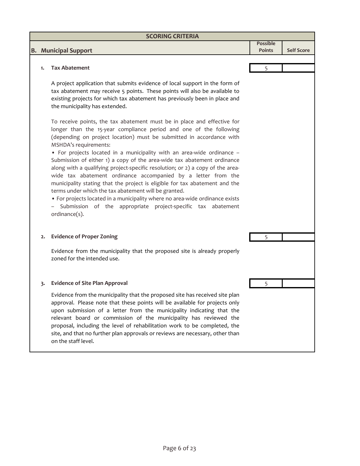| <b>SCORING CRITERIA</b> |                                                                                                                                                                                                                                                                                                                                                                                                                                                                                                                                                                                                                                                                                                                                                                                                                                                                  |               |                   |  |  |
|-------------------------|------------------------------------------------------------------------------------------------------------------------------------------------------------------------------------------------------------------------------------------------------------------------------------------------------------------------------------------------------------------------------------------------------------------------------------------------------------------------------------------------------------------------------------------------------------------------------------------------------------------------------------------------------------------------------------------------------------------------------------------------------------------------------------------------------------------------------------------------------------------|---------------|-------------------|--|--|
|                         |                                                                                                                                                                                                                                                                                                                                                                                                                                                                                                                                                                                                                                                                                                                                                                                                                                                                  | Possible      |                   |  |  |
|                         | <b>B.</b> Municipal Support                                                                                                                                                                                                                                                                                                                                                                                                                                                                                                                                                                                                                                                                                                                                                                                                                                      | <b>Points</b> | <b>Self Score</b> |  |  |
|                         |                                                                                                                                                                                                                                                                                                                                                                                                                                                                                                                                                                                                                                                                                                                                                                                                                                                                  |               |                   |  |  |
| 1.                      | <b>Tax Abatement</b>                                                                                                                                                                                                                                                                                                                                                                                                                                                                                                                                                                                                                                                                                                                                                                                                                                             | 5             |                   |  |  |
|                         |                                                                                                                                                                                                                                                                                                                                                                                                                                                                                                                                                                                                                                                                                                                                                                                                                                                                  |               |                   |  |  |
|                         | A project application that submits evidence of local support in the form of<br>tax abatement may receive 5 points. These points will also be available to<br>existing projects for which tax abatement has previously been in place and<br>the municipality has extended.                                                                                                                                                                                                                                                                                                                                                                                                                                                                                                                                                                                        |               |                   |  |  |
|                         | To receive points, the tax abatement must be in place and effective for<br>longer than the 15-year compliance period and one of the following<br>(depending on project location) must be submitted in accordance with<br>MSHDA's requirements:<br>• For projects located in a municipality with an area-wide ordinance -<br>Submission of either 1) a copy of the area-wide tax abatement ordinance<br>along with a qualifying project-specific resolution; or 2) a copy of the area-<br>wide tax abatement ordinance accompanied by a letter from the<br>municipality stating that the project is eligible for tax abatement and the<br>terms under which the tax abatement will be granted.<br>• For projects located in a municipality where no area-wide ordinance exists<br>- Submission of the appropriate project-specific tax abatement<br>ordinance(s). |               |                   |  |  |
| 2.                      | <b>Evidence of Proper Zoning</b>                                                                                                                                                                                                                                                                                                                                                                                                                                                                                                                                                                                                                                                                                                                                                                                                                                 | 5             |                   |  |  |
|                         |                                                                                                                                                                                                                                                                                                                                                                                                                                                                                                                                                                                                                                                                                                                                                                                                                                                                  |               |                   |  |  |
|                         | Evidence from the municipality that the proposed site is already properly<br>zoned for the intended use.                                                                                                                                                                                                                                                                                                                                                                                                                                                                                                                                                                                                                                                                                                                                                         |               |                   |  |  |
| 3.                      | <b>Evidence of Site Plan Approval</b>                                                                                                                                                                                                                                                                                                                                                                                                                                                                                                                                                                                                                                                                                                                                                                                                                            | 5             |                   |  |  |
|                         | Evidence from the municipality that the proposed site has received site plan<br>approval. Please note that these points will be available for projects only<br>upon submission of a letter from the municipality indicating that the<br>relevant board or commission of the municipality has reviewed the<br>proposal, including the level of rehabilitation work to be completed, the<br>site, and that no further plan approvals or reviews are necessary, other than<br>on the staff level.                                                                                                                                                                                                                                                                                                                                                                   |               |                   |  |  |
|                         |                                                                                                                                                                                                                                                                                                                                                                                                                                                                                                                                                                                                                                                                                                                                                                                                                                                                  |               |                   |  |  |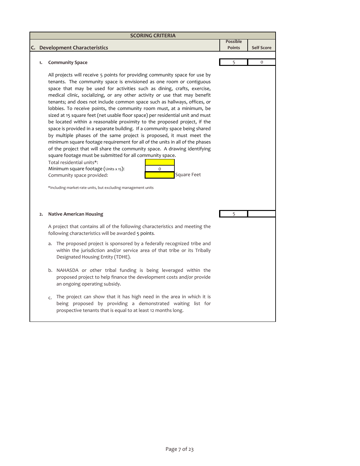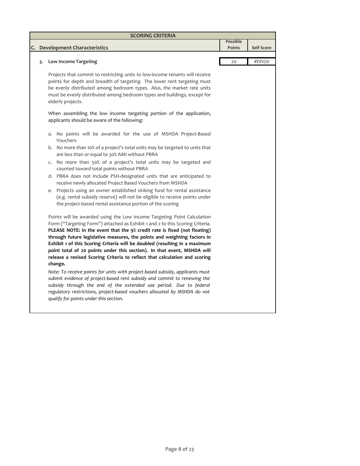| <b>SCORING CRITERIA</b>                                                                                                                                                                                                                                                                                                                                                                                                                                                                                                                                                                                                                                                                                                                                                                                                                                                                                                       |                                  |                   |  |  |  |
|-------------------------------------------------------------------------------------------------------------------------------------------------------------------------------------------------------------------------------------------------------------------------------------------------------------------------------------------------------------------------------------------------------------------------------------------------------------------------------------------------------------------------------------------------------------------------------------------------------------------------------------------------------------------------------------------------------------------------------------------------------------------------------------------------------------------------------------------------------------------------------------------------------------------------------|----------------------------------|-------------------|--|--|--|
| C. Development Characteristics                                                                                                                                                                                                                                                                                                                                                                                                                                                                                                                                                                                                                                                                                                                                                                                                                                                                                                | <b>Possible</b><br><b>Points</b> | <b>Self Score</b> |  |  |  |
| <b>Low Income Targeting</b><br>3.                                                                                                                                                                                                                                                                                                                                                                                                                                                                                                                                                                                                                                                                                                                                                                                                                                                                                             | 20                               | #DIV/o!           |  |  |  |
| Projects that commit to restricting units to low-income tenants will receive<br>points for depth and breadth of targeting. The lower rent targeting must<br>be evenly distributed among bedroom types. Also, the market rate units<br>must be evenly distributed among bedroom types and buildings, except for<br>elderly projects.                                                                                                                                                                                                                                                                                                                                                                                                                                                                                                                                                                                           |                                  |                   |  |  |  |
| When assembling the low income targeting portion of the application,<br>applicants should be aware of the following:                                                                                                                                                                                                                                                                                                                                                                                                                                                                                                                                                                                                                                                                                                                                                                                                          |                                  |                   |  |  |  |
| a. No points will be awarded for the use of MSHDA Project-Based<br>Vouchers                                                                                                                                                                                                                                                                                                                                                                                                                                                                                                                                                                                                                                                                                                                                                                                                                                                   |                                  |                   |  |  |  |
| b. No more than 10% of a project's total units may be targeted to units that<br>are less than or equal to 30% AMI without PBRA                                                                                                                                                                                                                                                                                                                                                                                                                                                                                                                                                                                                                                                                                                                                                                                                |                                  |                   |  |  |  |
| c. No more than 50% of a project's total units may be targeted and<br>counted toward total points without PBRA                                                                                                                                                                                                                                                                                                                                                                                                                                                                                                                                                                                                                                                                                                                                                                                                                |                                  |                   |  |  |  |
| d. PBRA does not include PSH-designated units that are anticipated to<br>receive newly allocated Project Based Vouchers from MSHDA                                                                                                                                                                                                                                                                                                                                                                                                                                                                                                                                                                                                                                                                                                                                                                                            |                                  |                   |  |  |  |
| e. Projects using an owner established sinking fund for rental assistance<br>(e.g. rental subsidy reserve) will not be eligible to receive points under<br>the project-based rental assistance portion of the scoring                                                                                                                                                                                                                                                                                                                                                                                                                                                                                                                                                                                                                                                                                                         |                                  |                   |  |  |  |
| Points will be awarded using the Low Income Targeting Point Calculation<br>Form ("Targeting Form") attached as Exhibit 1 and 2 to this Scoring Criteria.<br>PLEASE NOTE: in the event that the 9% credit rate is fixed (not floating)<br>through future legislative measures, the points and weighting factors in<br>Exhibit 1 of this Scoring Criteria will be doubled (resulting in a maximum<br>point total of 20 points under this section). In that event, MSHDA will<br>release a revised Scoring Criteria to reflect that calculation and scoring<br>change.<br>Note: To receive points for units with project-based subsidy, applicants must<br>submit evidence of project-based rent subsidy and commit to renewing the<br>subsidy through the end of the extended use period. Due to federal<br>regulatory restrictions, project-based vouchers allocated by MSHDA do not<br>qualify for points under this section. |                                  |                   |  |  |  |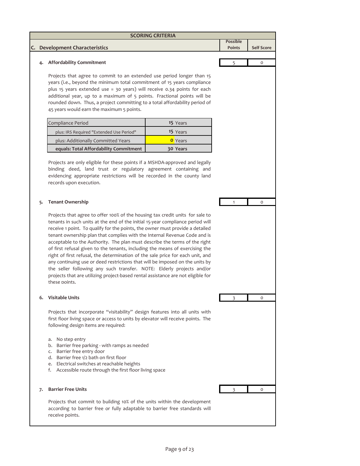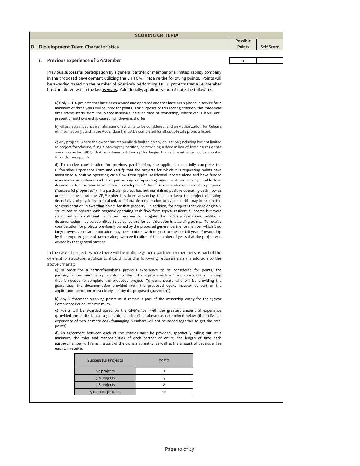|    | <b>SCORING CRITERIA</b> |                                                                                                                                                                                                            |               |  |                 |                   |
|----|-------------------------|------------------------------------------------------------------------------------------------------------------------------------------------------------------------------------------------------------|---------------|--|-----------------|-------------------|
|    |                         |                                                                                                                                                                                                            |               |  | <b>Possible</b> |                   |
| D. |                         | <b>Development Team Characteristics</b>                                                                                                                                                                    |               |  | <b>Points</b>   | <b>Self Score</b> |
|    |                         |                                                                                                                                                                                                            |               |  |                 |                   |
|    | 1.                      | <b>Previous Experience of GP/Member</b>                                                                                                                                                                    |               |  | 10              |                   |
|    |                         | Previous <b>successful</b> participation by a general partner or member of a limited liability company                                                                                                     |               |  |                 |                   |
|    |                         | in the proposed development utilizing the LIHTC will receive the following points. Points will                                                                                                             |               |  |                 |                   |
|    |                         | be awarded based on the number of positively performing LIHTC projects that a GP/Member                                                                                                                    |               |  |                 |                   |
|    |                         | has completed within the last 15 years. Additionally, applicants should note the following:                                                                                                                |               |  |                 |                   |
|    |                         |                                                                                                                                                                                                            |               |  |                 |                   |
|    |                         | a) Only LIHTC projects that have been owned and operated and that have been placed in service for a                                                                                                        |               |  |                 |                   |
|    |                         | minimum of three years will counted for points. For purposes of this scoring criterion, this three-year                                                                                                    |               |  |                 |                   |
|    |                         | time frame starts from the placed-in-service date or date of ownership, whichever is later, until                                                                                                          |               |  |                 |                   |
|    |                         | present or until ownership ceased, whichever is shorter.                                                                                                                                                   |               |  |                 |                   |
|    |                         | b) All projects must have a minimum of six units to be considered, and an Authorization for Release                                                                                                        |               |  |                 |                   |
|    |                         | of Information (found in the Addendum I) must be completed for all out-of-state projects listed.                                                                                                           |               |  |                 |                   |
|    |                         |                                                                                                                                                                                                            |               |  |                 |                   |
|    |                         | c) Any projects where the owner has materially defaulted on any obligation (including but not limited                                                                                                      |               |  |                 |                   |
|    |                         | to project foreclosure, filing a bankruptcy petition, or providing a deed in lieu of foreclosure) or has<br>any uncorrected 8823s that have been outstanding for longer than six months cannot be counted  |               |  |                 |                   |
|    |                         | towards these points.                                                                                                                                                                                      |               |  |                 |                   |
|    |                         | d) To receive consideration for previous participation, the applicant must fully complete the                                                                                                              |               |  |                 |                   |
|    |                         | GP/Member Experience Form and certify that the projects for which it is requesting points have                                                                                                             |               |  |                 |                   |
|    |                         | maintained a positive operating cash flow from typical residential income alone and have funded                                                                                                            |               |  |                 |                   |
|    |                         | reserves in accordance with the partnership or operating agreement and any applicable loan                                                                                                                 |               |  |                 |                   |
|    |                         | documents for the year in which each development's last financial statement has been prepared                                                                                                              |               |  |                 |                   |
|    |                         | ("successful properties"). If a particular project has not maintained positive operating cash flow as                                                                                                      |               |  |                 |                   |
|    |                         | outlined above, but the GP/Member has been advancing funds to keep the project operating<br>financially and physically maintained, additional documentation to evidence this may be submitted              |               |  |                 |                   |
|    |                         | for consideration in awarding points for that property. In addition, for projects that were originally                                                                                                     |               |  |                 |                   |
|    |                         | structured to operate with negative operating cash flow from typical residential income but were                                                                                                           |               |  |                 |                   |
|    |                         | structured with sufficient capitalized reserves to mitigate the negative operations, additional                                                                                                            |               |  |                 |                   |
|    |                         | documentation may be submitted to evidence this for consideration in awarding points. To receive                                                                                                           |               |  |                 |                   |
|    |                         | consideration for projects previously owned by the proposed general partner or member which it no<br>longer owns, a similar certification may be submitted with respect to the last full year of ownership |               |  |                 |                   |
|    |                         | by the proposed general partner along with verification of the number of years that the project was                                                                                                        |               |  |                 |                   |
|    |                         | owned by that general partner.                                                                                                                                                                             |               |  |                 |                   |
|    |                         |                                                                                                                                                                                                            |               |  |                 |                   |
|    |                         | In the case of projects where there will be multiple general partners or members as part of the                                                                                                            |               |  |                 |                   |
|    |                         | ownership structure, applicants should note the following requirements (in addition to the<br>above criteria):                                                                                             |               |  |                 |                   |
|    |                         | a) In order for a partner/member's previous experience to be considered for points, the                                                                                                                    |               |  |                 |                   |
|    |                         | partner/member must be a guarantor for the LIHTC equity investment and construction financing                                                                                                              |               |  |                 |                   |
|    |                         | that is needed to complete the proposed project. To demonstrate who will be providing the                                                                                                                  |               |  |                 |                   |
|    |                         | guarantees, the documentation provided from the proposed equity investor as part of the                                                                                                                    |               |  |                 |                   |
|    |                         | application submission must clearly identify the proposed guarantor(s).                                                                                                                                    |               |  |                 |                   |
|    |                         | b) Any GP/Member receiving points must remain a part of the ownership entity for the 15-year<br>Compliance Period, at a minimum.                                                                           |               |  |                 |                   |
|    |                         | c) Points will be awarded based on the GP/Member with the greatest amount of experience                                                                                                                    |               |  |                 |                   |
|    |                         | (provided the entity is also a guarantor as described above) as determined below (the individual                                                                                                           |               |  |                 |                   |
|    |                         | experience of two or more co-GP/Managing Members will not be added together to get the total<br>points).                                                                                                   |               |  |                 |                   |
|    |                         | d) An agreement between each of the entities must be provided, specifically calling out, at a                                                                                                              |               |  |                 |                   |
|    |                         | minimum, the roles and responsibilities of each partner or entity, the length of time each                                                                                                                 |               |  |                 |                   |
|    |                         | partner/member will remain a part of the ownership entity, as well as the amount of developer fee                                                                                                          |               |  |                 |                   |
|    |                         | each will receive.                                                                                                                                                                                         |               |  |                 |                   |
|    |                         |                                                                                                                                                                                                            |               |  |                 |                   |
|    |                         | <b>Successful Projects</b>                                                                                                                                                                                 | <b>Points</b> |  |                 |                   |
|    |                         | 1-4 projects                                                                                                                                                                                               | 2             |  |                 |                   |
|    |                         | 5-6 projects                                                                                                                                                                                               | 5             |  |                 |                   |
|    |                         | 7-8 projects                                                                                                                                                                                               | 8             |  |                 |                   |
|    |                         | 9 or more projects                                                                                                                                                                                         | 10            |  |                 |                   |
|    |                         |                                                                                                                                                                                                            |               |  |                 |                   |
|    |                         |                                                                                                                                                                                                            |               |  |                 |                   |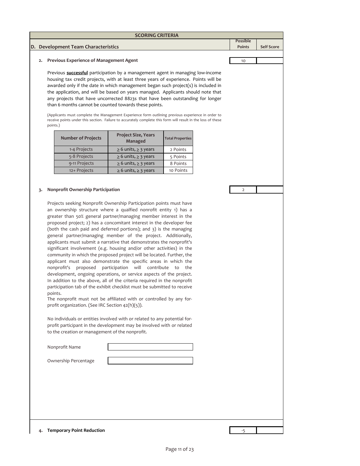| <b>SCORING CRITERIA</b>                              |                 |                   |
|------------------------------------------------------|-----------------|-------------------|
|                                                      | <b>Possible</b> |                   |
| D. Development Team Characteristics                  | <b>Points</b>   | <b>Self Score</b> |
|                                                      |                 |                   |
| <b>Previous Experience of Management Agent</b><br>2. | 10              |                   |
|                                                      |                 |                   |

Previous **successful** participation by a management agent in managing low‐income housing tax credit projects, with at least three years of experience. Points will be awarded only if the date in which management began such project(s) is included in the application, and will be based on years managed. Applicants should note that any projects that have uncorrected 8823s that have been outstanding for longer than 6 months cannot be counted towards these points.

(Applicants must complete the Management Experience form outlining previous experience in order to receive points under this section. Failure to accurately complete this form will result in the loss of these points.)

| <b>Number of Projects</b> | <b>Project Size, Years</b><br>Managed | <b>Total Properties</b> |
|---------------------------|---------------------------------------|-------------------------|
| 1-4 Projects              | $\geq$ 6 units, $\geq$ 3 years        | 2 Points                |
| 5-8 Projects              | $\geq$ 6 units, $\geq$ 3 years        | 5 Points                |
| 9-11 Projects             | $\geq 6$ units, $\geq 3$ years        | 8 Points                |
| 12+ Projects              | $\geq 6$ units, $\geq 3$ years        | 10 Points               |

## **3.** 2 **Nonprofit Ownership Participation**

Projects seeking Nonprofit Ownership Participation points must have an ownership structure where a qualfied nonrofit entity 1) has a greater than 50% general partner/managing member interest in the proposed project; 2) has a concomitant interest in the developer fee (both the cash paid and deferred portions); and 3) is the managing general partner/managing member of the project. Additionally, applicants must submit a narrative that demonstrates the nonprofit's significant involvement (e.g. housing and/or other activities) in the community in which the proposed project will be located. Further, the applicant must also demonstrate the specific areas in which the nonprofit's proposed participation will contribute to the development, ongoing operations, or service aspects of the project. In addition to the above, all of the criteria required in the nonprofit participation tab of the exhibit checklist must be submitted to receive points.

The nonprofit must not be affiliated with or controlled by any for‐ profit organization. (See IRC Section 42(h)(5)).

No individuals or entities involved with or related to any potential for‐ profit participant in the development may be involved with or related to the creation or management of the nonprofit.

| Nonprofit Name       |  |  |  |
|----------------------|--|--|--|
|                      |  |  |  |
| Ownership Percentage |  |  |  |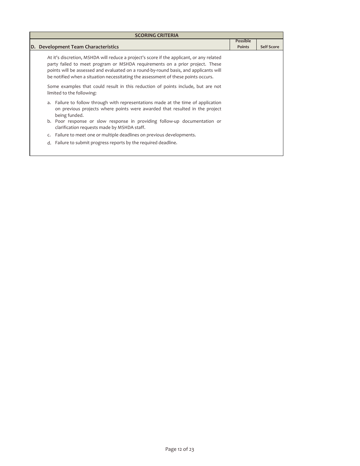| <b>SCORING CRITERIA</b>                                                                                                                                                                                                                                                                                                                               |                                  |                   |  |  |
|-------------------------------------------------------------------------------------------------------------------------------------------------------------------------------------------------------------------------------------------------------------------------------------------------------------------------------------------------------|----------------------------------|-------------------|--|--|
| D. Development Team Characteristics                                                                                                                                                                                                                                                                                                                   | <b>Possible</b><br><b>Points</b> | <b>Self Score</b> |  |  |
| At it's discretion, MSHDA will reduce a project's score if the applicant, or any related<br>party failed to meet program or MSHDA requirements on a prior project. These<br>points will be assessed and evaluated on a round-by-round basis, and applicants will<br>be notified when a situation necessitating the assessment of these points occurs. |                                  |                   |  |  |
| Some examples that could result in this reduction of points include, but are not<br>limited to the following:                                                                                                                                                                                                                                         |                                  |                   |  |  |
| a. Failure to follow through with representations made at the time of application<br>on previous projects where points were awarded that resulted in the project<br>being funded.                                                                                                                                                                     |                                  |                   |  |  |
| b. Poor response or slow response in providing follow-up documentation or<br>clarification requests made by MSHDA staff.                                                                                                                                                                                                                              |                                  |                   |  |  |
| Failure to meet one or multiple deadlines on previous developments.<br>$\mathsf{C}$                                                                                                                                                                                                                                                                   |                                  |                   |  |  |
| d. Failure to submit progress reports by the required deadline.                                                                                                                                                                                                                                                                                       |                                  |                   |  |  |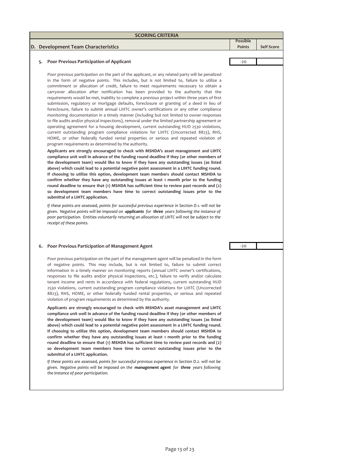|    | <b>SCORING CRITERIA</b>                                                                                                                                                                                                                                                                                                                                                                                                                                                                                                                                                                                                                                                                                                                                                                                                                                                                                                                                                                                                                                                                                                                                                                                                                                                                                                                                                                                                                                                                                                                                                                                                                                                                                                                                                                                                                                                                                                                                                                                       |                                  |                   |
|----|---------------------------------------------------------------------------------------------------------------------------------------------------------------------------------------------------------------------------------------------------------------------------------------------------------------------------------------------------------------------------------------------------------------------------------------------------------------------------------------------------------------------------------------------------------------------------------------------------------------------------------------------------------------------------------------------------------------------------------------------------------------------------------------------------------------------------------------------------------------------------------------------------------------------------------------------------------------------------------------------------------------------------------------------------------------------------------------------------------------------------------------------------------------------------------------------------------------------------------------------------------------------------------------------------------------------------------------------------------------------------------------------------------------------------------------------------------------------------------------------------------------------------------------------------------------------------------------------------------------------------------------------------------------------------------------------------------------------------------------------------------------------------------------------------------------------------------------------------------------------------------------------------------------------------------------------------------------------------------------------------------------|----------------------------------|-------------------|
|    | D. Development Team Characteristics                                                                                                                                                                                                                                                                                                                                                                                                                                                                                                                                                                                                                                                                                                                                                                                                                                                                                                                                                                                                                                                                                                                                                                                                                                                                                                                                                                                                                                                                                                                                                                                                                                                                                                                                                                                                                                                                                                                                                                           | <b>Possible</b><br><b>Points</b> | <b>Self Score</b> |
|    |                                                                                                                                                                                                                                                                                                                                                                                                                                                                                                                                                                                                                                                                                                                                                                                                                                                                                                                                                                                                                                                                                                                                                                                                                                                                                                                                                                                                                                                                                                                                                                                                                                                                                                                                                                                                                                                                                                                                                                                                               |                                  |                   |
| 5. | Poor Previous Participation of Applicant                                                                                                                                                                                                                                                                                                                                                                                                                                                                                                                                                                                                                                                                                                                                                                                                                                                                                                                                                                                                                                                                                                                                                                                                                                                                                                                                                                                                                                                                                                                                                                                                                                                                                                                                                                                                                                                                                                                                                                      | $-20$                            |                   |
|    | Poor previous participation on the part of the applicant, or any related party will be penalized<br>in the form of negative points. This includes, but is not limited to, failure to utilize a<br>commitment or allocation of credit, failure to meet requirements necessary to obtain a<br>carryover allocation after notification has been provided to the authority that the<br>requirements would be met, inability to complete a previous project within three years of first<br>submission, regulatory or mortgage defaults, foreclosure or granting of a deed in lieu of<br>foreclosure, failure to submit annual LIHTC owner's certifications or any other compliance<br>monitoring documentation in a timely manner (including but not limited to owner responses<br>to file audits and/or physical inspections), removal under the limited partnership agreement or<br>operating agreement for a housing development, current outstanding HUD 2530 violations,<br>current outstanding program compliance violations for LIHTC (Uncorrected 8823), RHS,<br>HOME, or other federally funded rental properties or serious and repeated violation of<br>program requirements as determined by the authority.<br>Applicants are strongly encouraged to check with MSHDA's asset management and LIHTC<br>compliance unit well in advance of the funding round deadline if they (or other members of<br>the development team) would like to know if they have any outstanding issues (as listed<br>above) which could lead to a potential negative point assessment in a LIHTC funding round.<br>If choosing to utilize this option, development team members should contact MSHDA to<br>confirm whether they have any outstanding issues at least 1 month prior to the funding<br>round deadline to ensure that $(i)$ MSHDA has sufficient time to review past records and $(2)$<br>so development team members have time to correct outstanding issues prior to the<br>submittal of a LIHTC application. |                                  |                   |
|    | If these points are assessed, points for successful previous experience in Section D.1. will not be<br>given. Negative points will be imposed on <b>applicants</b> for <b>three</b> years following the instance of<br>poor participation. Entities voluntarily returning an allocation of LIHTC will not be subject to the<br>receipt of these points.                                                                                                                                                                                                                                                                                                                                                                                                                                                                                                                                                                                                                                                                                                                                                                                                                                                                                                                                                                                                                                                                                                                                                                                                                                                                                                                                                                                                                                                                                                                                                                                                                                                       |                                  |                   |
| 6. | Poor Previous Participation of Management Agent                                                                                                                                                                                                                                                                                                                                                                                                                                                                                                                                                                                                                                                                                                                                                                                                                                                                                                                                                                                                                                                                                                                                                                                                                                                                                                                                                                                                                                                                                                                                                                                                                                                                                                                                                                                                                                                                                                                                                               | $-20$                            |                   |
|    | Poor previous participation on the part of the management agent will be penalized in the form<br>of negative points. This may include, but is not limited to, failure to submit correct<br>information in a timely manner on monitoring reports (annual LIHTC owner's certifications,<br>responses to file audits and/or physical inspections, etc.), failure to verify and/or calculate<br>tenant income and rents in accordance with federal regulations, current outstanding HUD<br>2530 violations, current outstanding program compliance violations for LIHTC (Uncorrected<br>8823), RHS, HOME, or other federally funded rental properties, or serious and repeated<br>violation of program requirements as determined by the authority.                                                                                                                                                                                                                                                                                                                                                                                                                                                                                                                                                                                                                                                                                                                                                                                                                                                                                                                                                                                                                                                                                                                                                                                                                                                               |                                  |                   |
|    | Applicants are strongly encouraged to check with MSHDA's asset management and LIHTC<br>compliance unit well in advance of the funding round deadline if they (or other members of<br>the development team) would like to know if they have any outstanding issues (as listed<br>above) which could lead to a potential negative point assessment in a LIHTC funding round.<br>If choosing to utilize this option, development team members should contact MSHDA to<br>confirm whether they have any outstanding issues at least 1 month prior to the funding<br>round deadline to ensure that $(i)$ MSHDA has sufficient time to review past records and $(2)$<br>so development team members have time to correct outstanding issues prior to the                                                                                                                                                                                                                                                                                                                                                                                                                                                                                                                                                                                                                                                                                                                                                                                                                                                                                                                                                                                                                                                                                                                                                                                                                                                            |                                  |                   |

*If these points are assessed, points for successful previous experience in Section D.2. will not be given. Negative points will be imposed on the management agent for three years following the instance of poor participation.*

**submittal of a LIHTC application.**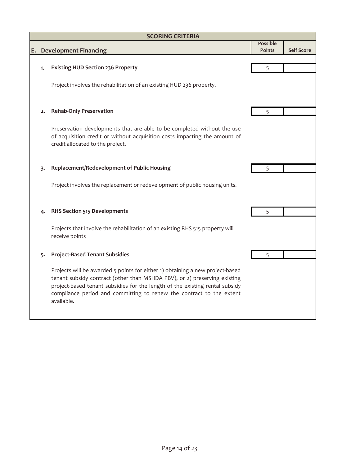## **E. Development Financing Possible Points** Self Score **1.** 5 **Existing HUD Section 236 Property 2.** 5 **Rehab‐Only Preservation 3.** 5 **Replacement/Redevelopment of Public Housing 4.** 5 **RHS Section 515 Developments 5. Project‐Based Tenant Subsidies** 5 Project involves the replacement or redevelopment of public housing units. Project involves the rehabilitation of an existing HUD 236 property. Projects will be awarded 5 points for either 1) obtaining a new project‐based tenant subsidy contract (other than MSHDA PBV), or 2) preserving existing project-based tenant subsidies for the length of the existing rental subsidy compliance period and committing to renew the contract to the extent available. Preservation developments that are able to be completed without the use of acquisition credit or without acquisition costs impacting the amount of credit allocated to the project. **SCORING CRITERIA** Projects that involve the rehabilitation of an existing RHS 515 property will receive points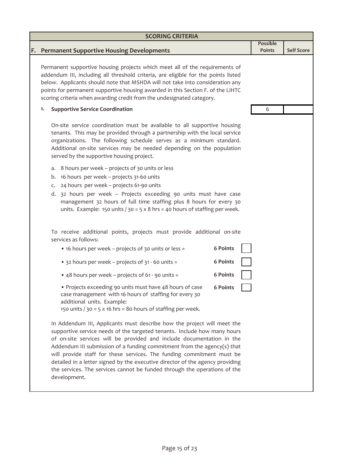| <b>SCORING CRITERIA</b>                                                                                                                                                                                                                                                                                                                                                                                                                                                                                                                                        |                                  |                   |
|----------------------------------------------------------------------------------------------------------------------------------------------------------------------------------------------------------------------------------------------------------------------------------------------------------------------------------------------------------------------------------------------------------------------------------------------------------------------------------------------------------------------------------------------------------------|----------------------------------|-------------------|
| F. Permanent Supportive Housing Developments                                                                                                                                                                                                                                                                                                                                                                                                                                                                                                                   | <b>Possible</b><br><b>Points</b> | <b>Self Score</b> |
| Permanent supportive housing projects which meet all of the requirements of<br>addendum III, including all threshold criteria, are eligible for the points listed<br>below. Applicants should note that MSHDA will not take into consideration any<br>points for permanent supportive housing awarded in this Section F. of the LIHTC<br>scoring criteria when awarding credit from the undesignated category.                                                                                                                                                 |                                  |                   |
| <b>Supportive Service Coordination</b><br>1.                                                                                                                                                                                                                                                                                                                                                                                                                                                                                                                   | 6                                |                   |
| On-site service coordination must be available to all supportive housing<br>tenants. This may be provided through a partnership with the local service<br>organizations. The following schedule serves as a minimum standard.<br>Additional on-site services may be needed depending on the population<br>served by the supportive housing project.                                                                                                                                                                                                            |                                  |                   |
| 8 hours per week - projects of 30 units or less<br>a.<br>16 hours per week - projects 31-60 units<br>b.<br>24 hours per week - projects 61-90 units<br>C.<br>d. 32 hours per week - Projects exceeding 90 units must have case<br>management 32 hours of full time staffing plus 8 hours for every 30<br>units. Example: 150 units / 30 = 5 x 8 hrs = 40 hours of staffing per week.                                                                                                                                                                           |                                  |                   |
| To receive additional points, projects must provide additional on-site<br>services as follows:                                                                                                                                                                                                                                                                                                                                                                                                                                                                 |                                  |                   |
| 6 Points<br>• 16 hours per week - projects of 30 units or less =                                                                                                                                                                                                                                                                                                                                                                                                                                                                                               |                                  |                   |
| <b>6 Points</b><br>• 32 hours per week - projects of 31 - 60 units =                                                                                                                                                                                                                                                                                                                                                                                                                                                                                           |                                  |                   |
| 6 Points<br>• 48 hours per week - projects of 61 - 90 units =                                                                                                                                                                                                                                                                                                                                                                                                                                                                                                  |                                  |                   |
| • Projects exceeding 90 units must have 48 hours of case<br>6 Points<br>case management with 16 hours of staffing for every 30<br>additional units. Example:<br>150 units $/$ 30 = 5 x 16 hrs = 80 hours of staffing per week.                                                                                                                                                                                                                                                                                                                                 |                                  |                   |
| In Addendum III, Applicants must describe how the project will meet the<br>supportive service needs of the targeted tenants. Include how many hours<br>of on-site services will be provided and include documentation in the<br>Addendum III submission of a funding commitment from the agency(s) that<br>will provide staff for these services. The funding commitment must be<br>detailed in a letter signed by the executive director of the agency providing<br>the services. The services cannot be funded through the operations of the<br>development. |                                  |                   |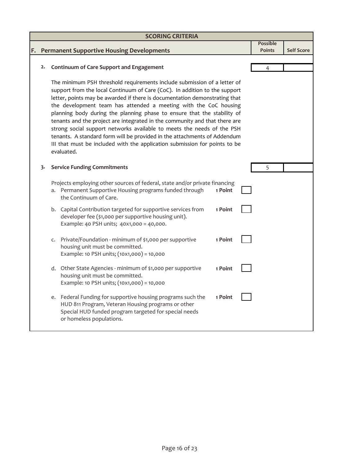|    | <b>SCORING CRITERIA</b> |                                                                                                                                                                                                                                                                                                                                                                                                                                                                                                                                                                                                                                                                                                                     |                                  |                   |
|----|-------------------------|---------------------------------------------------------------------------------------------------------------------------------------------------------------------------------------------------------------------------------------------------------------------------------------------------------------------------------------------------------------------------------------------------------------------------------------------------------------------------------------------------------------------------------------------------------------------------------------------------------------------------------------------------------------------------------------------------------------------|----------------------------------|-------------------|
| F. |                         | <b>Permanent Supportive Housing Developments</b>                                                                                                                                                                                                                                                                                                                                                                                                                                                                                                                                                                                                                                                                    | <b>Possible</b><br><b>Points</b> | <b>Self Score</b> |
|    | 2.                      | <b>Continuum of Care Support and Engagement</b>                                                                                                                                                                                                                                                                                                                                                                                                                                                                                                                                                                                                                                                                     | 4                                |                   |
|    |                         | The minimum PSH threshold requirements include submission of a letter of<br>support from the local Continuum of Care (CoC). In addition to the support<br>letter, points may be awarded if there is documentation demonstrating that<br>the development team has attended a meeting with the CoC housing<br>planning body during the planning phase to ensure that the stability of<br>tenants and the project are integrated in the community and that there are<br>strong social support networks available to meets the needs of the PSH<br>tenants. A standard form will be provided in the attachments of Addendum<br>III that must be included with the application submission for points to be<br>evaluated. |                                  |                   |
|    | 3.                      | <b>Service Funding Commitments</b>                                                                                                                                                                                                                                                                                                                                                                                                                                                                                                                                                                                                                                                                                  | 5                                |                   |
|    |                         | Projects employing other sources of federal, state and/or private financing<br>a. Permanent Supportive Housing programs funded through<br>1 Point<br>the Continuum of Care.                                                                                                                                                                                                                                                                                                                                                                                                                                                                                                                                         |                                  |                   |
|    |                         | b. Capital Contribution targeted for supportive services from<br>1 Point<br>developer fee (\$1,000 per supportive housing unit).<br>Example: 40 PSH units; 40x1,000 = 40,000.                                                                                                                                                                                                                                                                                                                                                                                                                                                                                                                                       |                                  |                   |
|    |                         | Private/Foundation - minimum of \$1,000 per supportive<br>1 Point<br>$\mathsf{C}$<br>housing unit must be committed.<br>Example: 10 PSH units; (10x1,000) = 10,000                                                                                                                                                                                                                                                                                                                                                                                                                                                                                                                                                  |                                  |                   |
|    |                         | d. Other State Agencies - minimum of \$1,000 per supportive<br>1 Point<br>housing unit must be committed.<br>Example: 10 PSH units; (10x1,000) = 10,000                                                                                                                                                                                                                                                                                                                                                                                                                                                                                                                                                             |                                  |                   |
|    |                         | e. Federal Funding for supportive housing programs such the<br>1 Point<br>HUD 811 Program, Veteran Housing programs or other<br>Special HUD funded program targeted for special needs<br>or homeless populations.                                                                                                                                                                                                                                                                                                                                                                                                                                                                                                   |                                  |                   |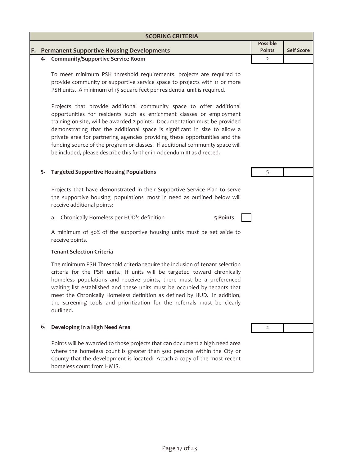| <b>SCORING CRITERIA</b> |                                                                                                                                                                                                                                                                                                                                                                                                                                                                                                                                                 |                |                   |
|-------------------------|-------------------------------------------------------------------------------------------------------------------------------------------------------------------------------------------------------------------------------------------------------------------------------------------------------------------------------------------------------------------------------------------------------------------------------------------------------------------------------------------------------------------------------------------------|----------------|-------------------|
|                         |                                                                                                                                                                                                                                                                                                                                                                                                                                                                                                                                                 | Possible       |                   |
|                         | F. Permanent Supportive Housing Developments<br>4. Community/Supportive Service Room                                                                                                                                                                                                                                                                                                                                                                                                                                                            | <b>Points</b>  | <b>Self Score</b> |
|                         |                                                                                                                                                                                                                                                                                                                                                                                                                                                                                                                                                 | $\overline{2}$ |                   |
|                         | To meet minimum PSH threshold requirements, projects are required to<br>provide community or supportive service space to projects with 11 or more<br>PSH units. A minimum of 15 square feet per residential unit is required.                                                                                                                                                                                                                                                                                                                   |                |                   |
|                         | Projects that provide additional community space to offer additional<br>opportunities for residents such as enrichment classes or employment<br>training on-site, will be awarded 2 points. Documentation must be provided<br>demonstrating that the additional space is significant in size to allow a<br>private area for partnering agencies providing these opportunities and the<br>funding source of the program or classes. If additional community space will<br>be included, please describe this further in Addendum III as directed. |                |                   |
| 5.                      | <b>Targeted Supportive Housing Populations</b>                                                                                                                                                                                                                                                                                                                                                                                                                                                                                                  | 5              |                   |
|                         | Projects that have demonstrated in their Supportive Service Plan to serve<br>the supportive housing populations most in need as outlined below will<br>receive additional points:                                                                                                                                                                                                                                                                                                                                                               |                |                   |
|                         | 5 Points<br>a. Chronically Homeless per HUD's definition                                                                                                                                                                                                                                                                                                                                                                                                                                                                                        |                |                   |
|                         | A minimum of 30% of the supportive housing units must be set aside to<br>receive points.                                                                                                                                                                                                                                                                                                                                                                                                                                                        |                |                   |
|                         | <b>Tenant Selection Criteria</b>                                                                                                                                                                                                                                                                                                                                                                                                                                                                                                                |                |                   |
|                         | The minimum PSH Threshold criteria require the inclusion of tenant selection<br>criteria for the PSH units. If units will be targeted toward chronically<br>homeless populations and receive points, there must be a preferenced<br>waiting list established and these units must be occupied by tenants that<br>meet the Chronically Homeless definition as defined by HUD. In addition,<br>the screening tools and prioritization for the referrals must be clearly<br>outlined.                                                              |                |                   |
| 6.                      | Developing in a High Need Area                                                                                                                                                                                                                                                                                                                                                                                                                                                                                                                  | 2              |                   |
|                         | Points will be awarded to those projects that can document a high need area<br>where the homeless count is greater than 500 persons within the City or<br>County that the development is located: Attach a copy of the most recent<br>homeless count from HMIS.                                                                                                                                                                                                                                                                                 |                |                   |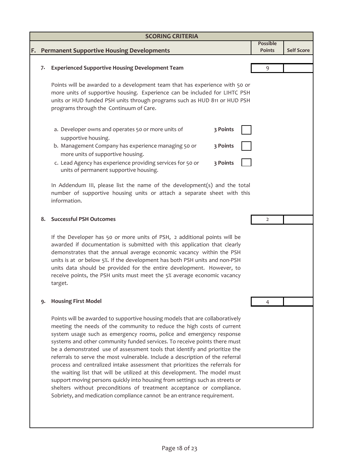| <b>Permanent Supportive Housing Developments</b><br>F.<br><b>Experienced Supportive Housing Development Team</b><br>7.<br>Points will be awarded to a development team that has experience with 50 or<br>more units of supportive housing. Experience can be included for LIHTC PSH<br>units or HUD funded PSH units through programs such as HUD 811 or HUD PSH<br>programs through the Continuum of Care.                                                                                                                                                                                                                                                                                                                                                                                                                                                                | <b>Possible</b><br><b>Points</b><br>9 | <b>Self Score</b> |
|----------------------------------------------------------------------------------------------------------------------------------------------------------------------------------------------------------------------------------------------------------------------------------------------------------------------------------------------------------------------------------------------------------------------------------------------------------------------------------------------------------------------------------------------------------------------------------------------------------------------------------------------------------------------------------------------------------------------------------------------------------------------------------------------------------------------------------------------------------------------------|---------------------------------------|-------------------|
|                                                                                                                                                                                                                                                                                                                                                                                                                                                                                                                                                                                                                                                                                                                                                                                                                                                                            |                                       |                   |
|                                                                                                                                                                                                                                                                                                                                                                                                                                                                                                                                                                                                                                                                                                                                                                                                                                                                            |                                       |                   |
|                                                                                                                                                                                                                                                                                                                                                                                                                                                                                                                                                                                                                                                                                                                                                                                                                                                                            |                                       |                   |
|                                                                                                                                                                                                                                                                                                                                                                                                                                                                                                                                                                                                                                                                                                                                                                                                                                                                            |                                       |                   |
|                                                                                                                                                                                                                                                                                                                                                                                                                                                                                                                                                                                                                                                                                                                                                                                                                                                                            |                                       |                   |
|                                                                                                                                                                                                                                                                                                                                                                                                                                                                                                                                                                                                                                                                                                                                                                                                                                                                            |                                       |                   |
| 3 Points<br>a. Developer owns and operates 50 or more units of<br>supportive housing.                                                                                                                                                                                                                                                                                                                                                                                                                                                                                                                                                                                                                                                                                                                                                                                      |                                       |                   |
| b. Management Company has experience managing 50 or<br>3 Points<br>more units of supportive housing.                                                                                                                                                                                                                                                                                                                                                                                                                                                                                                                                                                                                                                                                                                                                                                       |                                       |                   |
| 3 Points<br>c. Lead Agency has experience providing services for 50 or<br>units of permanent supportive housing.                                                                                                                                                                                                                                                                                                                                                                                                                                                                                                                                                                                                                                                                                                                                                           |                                       |                   |
| In Addendum III, please list the name of the development(s) and the total<br>number of supportive housing units or attach a separate sheet with this<br>information.                                                                                                                                                                                                                                                                                                                                                                                                                                                                                                                                                                                                                                                                                                       |                                       |                   |
| <b>Successful PSH Outcomes</b><br>8.                                                                                                                                                                                                                                                                                                                                                                                                                                                                                                                                                                                                                                                                                                                                                                                                                                       | 2                                     |                   |
| If the Developer has 50 or more units of PSH, 2 additional points will be<br>awarded if documentation is submitted with this application that clearly<br>demonstrates that the annual average economic vacancy within the PSH<br>units is at or below 5%. If the development has both PSH units and non-PSH<br>units data should be provided for the entire development. However, to<br>receive points, the PSH units must meet the 5% average economic vacancy<br>target.                                                                                                                                                                                                                                                                                                                                                                                                 |                                       |                   |
| <b>Housing First Model</b><br>9.                                                                                                                                                                                                                                                                                                                                                                                                                                                                                                                                                                                                                                                                                                                                                                                                                                           | 4                                     |                   |
| Points will be awarded to supportive housing models that are collaboratively<br>meeting the needs of the community to reduce the high costs of current<br>system usage such as emergency rooms, police and emergency response<br>systems and other community funded services. To receive points there must<br>be a demonstrated use of assessment tools that identify and prioritize the<br>referrals to serve the most vulnerable. Include a description of the referral<br>process and centralized intake assessment that prioritizes the referrals for<br>the waiting list that will be utilized at this development. The model must<br>support moving persons quickly into housing from settings such as streets or<br>shelters without preconditions of treatment acceptance or compliance.<br>Sobriety, and medication compliance cannot be an entrance requirement. |                                       |                   |
|                                                                                                                                                                                                                                                                                                                                                                                                                                                                                                                                                                                                                                                                                                                                                                                                                                                                            |                                       |                   |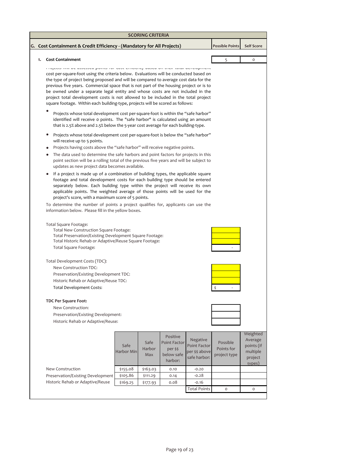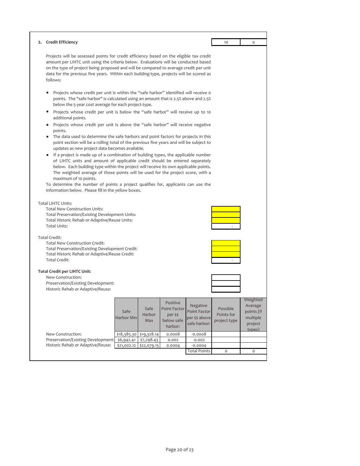| Projects will be assessed points for credit efficiency based on the eligible tax credit<br>amount per LIHTC unit using the criteria below. Evaluations will be conducted based<br>on the type of project being proposed and will be compared to average credit per unit<br>data for the previous five years. Within each building-type, projects will be scored as<br>follows:<br>Projects whose credit per unit is within the "safe harbor" identified will receive o<br>points. The "safe harbor" is calculated using an amount that is 2.5% above and 2.5%<br>below the 5-year cost average for each project-type.<br>Projects whose credit per unit is below the "safe harbor" will receive up to 10<br>$\bullet$<br>additional points.<br>Projects whose credit per unit is above the "safe harbor" will receive negative<br>$\bullet$<br>points.<br>• The data used to determine the safe harbors and point factors for projects in this<br>point section will be a rolling total of the previous five years and will be subject to<br>updates as new project data becomes available.<br>If a project is made up of a combination of building types, the applicable number<br>of LIHTC units and amount of applicable credit should be entered separately<br>below. Each building type within the project will receive its own applicable points.<br>The weighted average of those points will be used for the project score, with a<br>maximum of 10 points.<br>To determine the number of points a project qualifies for, applicants can use the<br>information below. Please fill in the yellow boxes.<br><b>Total LIHTC Units:</b><br><b>Total New Construction Units:</b><br>Total Preservation/Existing Development Units:<br>Total Historic Rehab or Adaptive/Reuse Units:<br><b>Total Units:</b><br><b>Total Credit:</b><br><b>Total New Construction Credit:</b><br>Total Preservation/Existing Development Credit:<br>Total Historic Rehab or Adaptive/Reuse Credit:<br>Total Credit:<br><b>Total Credit per LIHTC Unit:</b><br>New Construction:<br>Preservation/Existing Development:<br>Historic Rehab or Adaptive/Reuse:<br>Weighted<br>Positive<br>Average<br>Negative<br>Safe<br><b>Point Factor</b><br>Possible<br><b>Point Factor</b><br>points (if<br>Safe<br>Harbor<br>Points for<br>per \$\$<br>Harbor Min<br>multiple<br>per \$\$ above<br>below safe<br>Max<br>project type<br>safe harbor:<br>project<br>harbor:<br>types)<br>New Construction:<br>\$19,328.14<br>0.0008<br>$-0.0008$<br>\$18,385.30<br>Preservation/Existing Development:<br>$\frac{1}{6,942.41}$<br>\$7,298.43<br>0.002<br>$-0.002$<br>Historic Rehab or Adaptive/Reuse:<br>\$21,002.12<br>\$22,079.15<br>0.0004<br>$-0.0004$<br><b>Total Points</b><br>O<br>$\mathsf O$ | 2. Credit Efficiency | 10 | $\circ$ |
|--------------------------------------------------------------------------------------------------------------------------------------------------------------------------------------------------------------------------------------------------------------------------------------------------------------------------------------------------------------------------------------------------------------------------------------------------------------------------------------------------------------------------------------------------------------------------------------------------------------------------------------------------------------------------------------------------------------------------------------------------------------------------------------------------------------------------------------------------------------------------------------------------------------------------------------------------------------------------------------------------------------------------------------------------------------------------------------------------------------------------------------------------------------------------------------------------------------------------------------------------------------------------------------------------------------------------------------------------------------------------------------------------------------------------------------------------------------------------------------------------------------------------------------------------------------------------------------------------------------------------------------------------------------------------------------------------------------------------------------------------------------------------------------------------------------------------------------------------------------------------------------------------------------------------------------------------------------------------------------------------------------------------------------------------------------------------------------------------------------------------------------------------------------------------------------------------------------------------------------------------------------------------------------------------------------------------------------------------------------------------------------------------------------------------------------------------------------------------------------------------------------------------------------------------------------------------------------------------------------------------------------------------------------------------------------------------------------------------------------------------------------------------|----------------------|----|---------|
|                                                                                                                                                                                                                                                                                                                                                                                                                                                                                                                                                                                                                                                                                                                                                                                                                                                                                                                                                                                                                                                                                                                                                                                                                                                                                                                                                                                                                                                                                                                                                                                                                                                                                                                                                                                                                                                                                                                                                                                                                                                                                                                                                                                                                                                                                                                                                                                                                                                                                                                                                                                                                                                                                                                                                                          |                      |    |         |
|                                                                                                                                                                                                                                                                                                                                                                                                                                                                                                                                                                                                                                                                                                                                                                                                                                                                                                                                                                                                                                                                                                                                                                                                                                                                                                                                                                                                                                                                                                                                                                                                                                                                                                                                                                                                                                                                                                                                                                                                                                                                                                                                                                                                                                                                                                                                                                                                                                                                                                                                                                                                                                                                                                                                                                          |                      |    |         |
|                                                                                                                                                                                                                                                                                                                                                                                                                                                                                                                                                                                                                                                                                                                                                                                                                                                                                                                                                                                                                                                                                                                                                                                                                                                                                                                                                                                                                                                                                                                                                                                                                                                                                                                                                                                                                                                                                                                                                                                                                                                                                                                                                                                                                                                                                                                                                                                                                                                                                                                                                                                                                                                                                                                                                                          |                      |    |         |
|                                                                                                                                                                                                                                                                                                                                                                                                                                                                                                                                                                                                                                                                                                                                                                                                                                                                                                                                                                                                                                                                                                                                                                                                                                                                                                                                                                                                                                                                                                                                                                                                                                                                                                                                                                                                                                                                                                                                                                                                                                                                                                                                                                                                                                                                                                                                                                                                                                                                                                                                                                                                                                                                                                                                                                          |                      |    |         |
|                                                                                                                                                                                                                                                                                                                                                                                                                                                                                                                                                                                                                                                                                                                                                                                                                                                                                                                                                                                                                                                                                                                                                                                                                                                                                                                                                                                                                                                                                                                                                                                                                                                                                                                                                                                                                                                                                                                                                                                                                                                                                                                                                                                                                                                                                                                                                                                                                                                                                                                                                                                                                                                                                                                                                                          |                      |    |         |
|                                                                                                                                                                                                                                                                                                                                                                                                                                                                                                                                                                                                                                                                                                                                                                                                                                                                                                                                                                                                                                                                                                                                                                                                                                                                                                                                                                                                                                                                                                                                                                                                                                                                                                                                                                                                                                                                                                                                                                                                                                                                                                                                                                                                                                                                                                                                                                                                                                                                                                                                                                                                                                                                                                                                                                          |                      |    |         |
|                                                                                                                                                                                                                                                                                                                                                                                                                                                                                                                                                                                                                                                                                                                                                                                                                                                                                                                                                                                                                                                                                                                                                                                                                                                                                                                                                                                                                                                                                                                                                                                                                                                                                                                                                                                                                                                                                                                                                                                                                                                                                                                                                                                                                                                                                                                                                                                                                                                                                                                                                                                                                                                                                                                                                                          |                      |    |         |
|                                                                                                                                                                                                                                                                                                                                                                                                                                                                                                                                                                                                                                                                                                                                                                                                                                                                                                                                                                                                                                                                                                                                                                                                                                                                                                                                                                                                                                                                                                                                                                                                                                                                                                                                                                                                                                                                                                                                                                                                                                                                                                                                                                                                                                                                                                                                                                                                                                                                                                                                                                                                                                                                                                                                                                          |                      |    |         |
|                                                                                                                                                                                                                                                                                                                                                                                                                                                                                                                                                                                                                                                                                                                                                                                                                                                                                                                                                                                                                                                                                                                                                                                                                                                                                                                                                                                                                                                                                                                                                                                                                                                                                                                                                                                                                                                                                                                                                                                                                                                                                                                                                                                                                                                                                                                                                                                                                                                                                                                                                                                                                                                                                                                                                                          |                      |    |         |
|                                                                                                                                                                                                                                                                                                                                                                                                                                                                                                                                                                                                                                                                                                                                                                                                                                                                                                                                                                                                                                                                                                                                                                                                                                                                                                                                                                                                                                                                                                                                                                                                                                                                                                                                                                                                                                                                                                                                                                                                                                                                                                                                                                                                                                                                                                                                                                                                                                                                                                                                                                                                                                                                                                                                                                          |                      |    |         |
|                                                                                                                                                                                                                                                                                                                                                                                                                                                                                                                                                                                                                                                                                                                                                                                                                                                                                                                                                                                                                                                                                                                                                                                                                                                                                                                                                                                                                                                                                                                                                                                                                                                                                                                                                                                                                                                                                                                                                                                                                                                                                                                                                                                                                                                                                                                                                                                                                                                                                                                                                                                                                                                                                                                                                                          |                      |    |         |
|                                                                                                                                                                                                                                                                                                                                                                                                                                                                                                                                                                                                                                                                                                                                                                                                                                                                                                                                                                                                                                                                                                                                                                                                                                                                                                                                                                                                                                                                                                                                                                                                                                                                                                                                                                                                                                                                                                                                                                                                                                                                                                                                                                                                                                                                                                                                                                                                                                                                                                                                                                                                                                                                                                                                                                          |                      |    |         |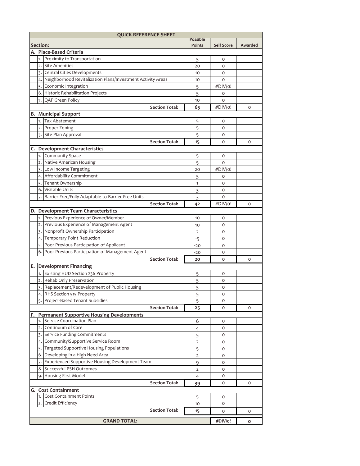|    | <b>QUICK REFERENCE SHEET</b> |                                                                |                                  |                   |         |
|----|------------------------------|----------------------------------------------------------------|----------------------------------|-------------------|---------|
|    | Section:                     |                                                                | <b>Possible</b><br><b>Points</b> | <b>Self Score</b> | Awarded |
|    |                              | A. Place-Based Criteria                                        |                                  |                   |         |
|    | 1.                           | Proximity to Transportation                                    |                                  | O                 |         |
|    | 2.                           | <b>Site Amenities</b>                                          | 5                                | $\circ$           |         |
|    | 3.                           | Central Cities Developments                                    | 20                               | O                 |         |
|    |                              | 4. Neighborhood Revitalization Plans/Investment Activity Areas | 10                               | O                 |         |
|    | 5.                           | Economic Integration                                           | 10                               | #DIV/o!           |         |
|    |                              | 6. Historic Rehabilitation Projects                            | 5                                |                   |         |
|    | 7.                           | QAP Green Policy                                               | 5                                | 0<br>O            |         |
|    |                              | <b>Section Total:</b>                                          | 10                               | #DIV/o!           | $\circ$ |
| в. |                              | <b>Municipal Support</b>                                       | 65                               |                   |         |
|    | 1.                           | <b>Tax Abatement</b>                                           |                                  | 0                 |         |
|    | $\overline{2}$ .             | Proper Zoning                                                  | 5<br>5                           | O                 |         |
|    |                              | 3. Site Plan Approval                                          | 5                                | 0                 |         |
|    |                              | <b>Section Total:</b>                                          | 15                               | 0                 | $\circ$ |
|    |                              | <b>Development Characteristics</b>                             |                                  |                   |         |
| C. | 1.                           | <b>Community Space</b>                                         |                                  | 0                 |         |
|    | 2.                           | Native American Housing                                        | 5                                | O                 |         |
|    |                              | 3. Low Income Targeting                                        | 5<br>20                          | #DIV/o!           |         |
|    |                              | 4. Affordability Commitment                                    |                                  | O                 |         |
|    |                              | 5. Tenant Ownership                                            | 5<br>1                           | 0                 |         |
|    |                              | 6. Visitable Units                                             |                                  | O                 |         |
|    | 7.                           | Barrier-Free/Fully-Adaptable-to-Barrier-Free Units             | 3<br>3                           | O                 |         |
|    |                              | <b>Section Total:</b>                                          | 42                               | #DIV/o!           | 0       |
|    |                              | D. Development Team Characteristics                            |                                  |                   |         |
|    | 1.                           | Previous Experience of Owner/Member                            | 10                               | 0                 |         |
|    | 2.                           | Previous Experience of Management Agent                        | 10                               | O                 |         |
|    | 3.                           | Nonprofit Ownership Participation                              | $\overline{2}$                   | O                 |         |
|    | 4.                           | Temporary Point Reduction                                      |                                  | O                 |         |
|    | 5.                           | Poor Previous Participation of Applicant                       | -5<br>$-20$                      | 0                 |         |
|    |                              | 6. Poor Previous Participation of Management Agent             | $-20$                            | 0                 |         |
|    |                              | <b>Section Total:</b>                                          | 20                               | 0                 | $\circ$ |
| Е. |                              | <b>Development Financing</b>                                   |                                  |                   |         |
|    | 1.                           | Existing HUD Section 236 Property                              | 5                                | 0                 |         |
|    | 2.                           | Rehab Only Preservation                                        | 5                                | 0                 |         |
|    | 3.                           | Replacement/Redevelopment of Public Housing                    | 5                                | 0                 |         |
|    |                              | 4. RHS Section 515 Property                                    | 5                                | O                 |         |
|    |                              | Project-Based Tenant Subsidies                                 | 5                                | O                 |         |
|    |                              | <b>Section Total:</b>                                          | 25                               | O                 | O       |
| F. |                              | <b>Permanent Supportive Housing Developments</b>               |                                  |                   |         |
|    |                              | 1. Service Coordination Plan                                   | 6                                | 0                 |         |
|    |                              | 2. Continuum of Care                                           | 4                                | 0                 |         |
|    |                              | 3. Service Funding Commitments                                 | 5                                | 0                 |         |
|    | 4.                           | Community/Supportive Service Room                              | $\overline{2}$                   | O                 |         |
|    | 5.                           | Targeted Supportive Housing Populations                        | 5                                | O                 |         |
|    |                              | 6. Developing in a High Need Area                              | $\overline{2}$                   | O                 |         |
|    | 7.                           | Experienced Supportive Housing Development Team                | 9                                | O                 |         |
|    |                              | 8. Successful PSH Outcomes                                     | $\overline{2}$                   | 0                 |         |
|    |                              | 9. Housing First Model                                         | $\overline{4}$                   | 0                 |         |
|    |                              | <b>Section Total:</b>                                          | 39                               | 0                 | 0       |
|    | <b>G.</b> Cost Containment   |                                                                |                                  |                   |         |
|    |                              | 1. Cost Containment Points                                     | 5                                | 0                 |         |
|    |                              | 2. Credit Efficiency                                           | 10                               | 0                 |         |
|    |                              | <b>Section Total:</b>                                          | 15                               | O                 | 0       |
|    |                              |                                                                |                                  |                   |         |
|    |                              | <b>GRAND TOTAL:</b>                                            |                                  | #DIV/o!           | 0       |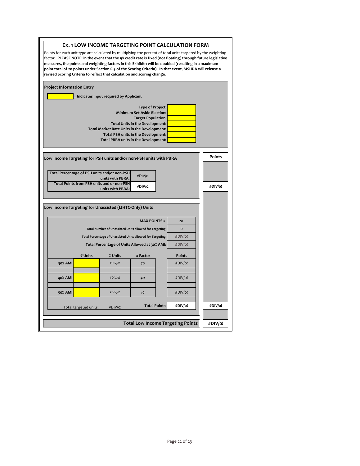